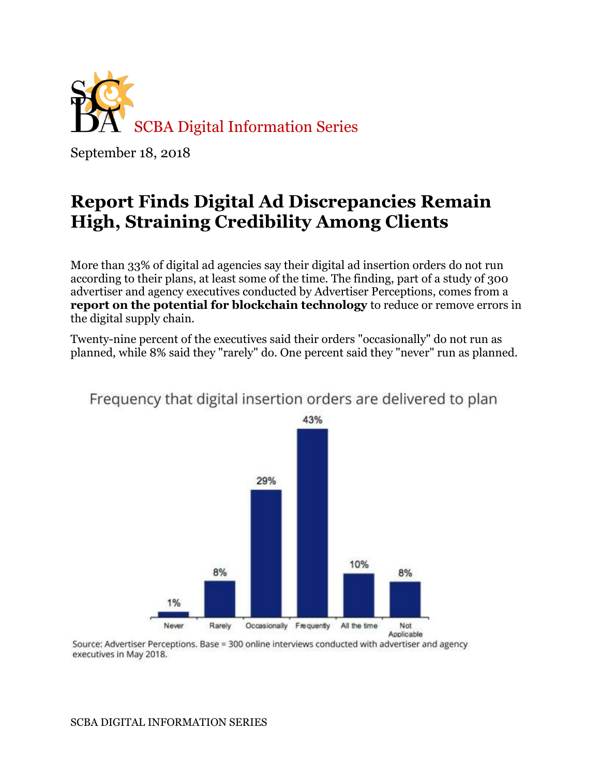

September 18, 2018

## **Report Finds Digital Ad Discrepancies Remain High, Straining Credibility Among Clients**

More than 33% of digital ad agencies say their digital ad insertion orders do not run according to their plans, at least some of the time. The finding, part of a study of 300 advertiser and agency executives conducted by Advertiser Perceptions, comes from a **[report on the potential for blockchain technology](https://www.mediapost.com/publications/article/325127/ad-execs-blockchain-promising-but-slow-to-adopt.html)** to reduce or remove errors in the digital supply chain.

Twenty-nine percent of the executives said their orders "occasionally" do not run as planned, while 8% said they "rarely" do. One percent said they "never" run as planned.



Frequency that digital insertion orders are delivered to plan

Source: Advertiser Perceptions. Base = 300 online interviews conducted with advertiser and agency executives in May 2018.

SCBA DIGITAL INFORMATION SERIES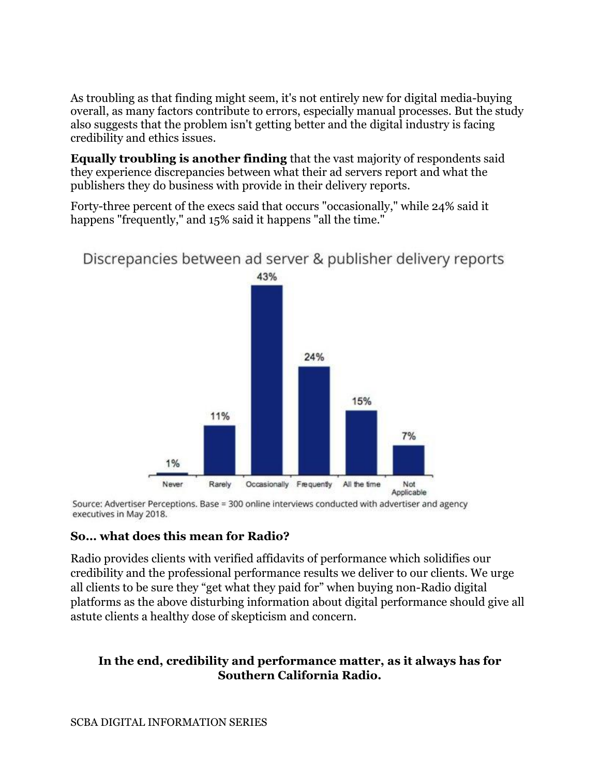As troubling as that finding might seem, it's not entirely new for digital media-buying overall, as many factors contribute to errors, especially manual processes. But the study also suggests that the problem isn't getting better and the digital industry is facing credibility and ethics issues.

**Equally troubling is another finding** that the vast majority of respondents said they experience discrepancies between what their ad servers report and what the publishers they do business with provide in their delivery reports.

Forty-three percent of the execs said that occurs "occasionally," while 24% said it happens "frequently," and 15% said it happens "all the time."

## Discrepancies between ad server & publisher delivery reports



Source: Advertiser Perceptions. Base = 300 online interviews conducted with advertiser and agency executives in May 2018.

## **So… what does this mean for Radio?**

Radio provides clients with verified affidavits of performance which solidifies our credibility and the professional performance results we deliver to our clients. We urge all clients to be sure they "get what they paid for" when buying non-Radio digital platforms as the above disturbing information about digital performance should give all astute clients a healthy dose of skepticism and concern.

## **In the end, credibility and performance matter, as it always has for Southern California Radio.**